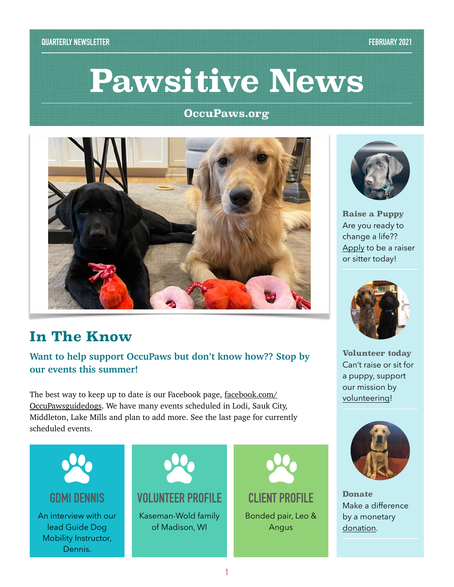# **Pawsitive News**

#### **OccuPaws.org**



## **In The Know**

#### **Want to help support OccuPaws but don't know how?? Stop by our events this summer!**

The best way to keep up to date is our Facebook page, <u>[facebook.com/](http://facebook.com/OccuPawsguidedogs)</u> [OccuPawsguidedogs](http://facebook.com/OccuPawsguidedogs). We have many events scheduled in Lodi, Sauk City, Middleton, Lake Mills and plan to add more. See the last page for currently scheduled events.





**Raise a Puppy** Are you ready to change a life?? [Apply](https://occupaws.formstack.com/forms/raisersittervolunteer_updating) to be a raiser or sitter today!



**Volunteer today** Can't raise or sit for a puppy, support our mission by [volunteering!](https://occupaws.org/how-to-help/offer-your-services/)



**Donate** Make a difference by a monetary [donation](https://occupaws.org/how-to-help/donate/).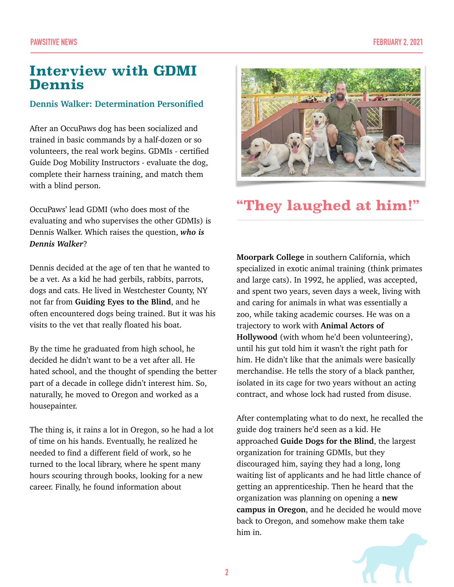## **Interview with GDMI Dennis**

#### **Dennis Walker: Determination Personified**

After an OccuPaws dog has been socialized and trained in basic commands by a half-dozen or so volunteers, the real work begins. GDMIs - certified Guide Dog Mobility Instructors - evaluate the dog, complete their harness training, and match them with a blind person.

OccuPaws' lead GDMI (who does most of the evaluating and who supervises the other GDMIs) is Dennis Walker. Which raises the question, *who is Dennis Walker*?

Dennis decided at the age of ten that he wanted to be a vet. As a kid he had gerbils, rabbits, parrots, dogs and cats. He lived in Westchester County, NY not far from **Guiding Eyes to the Blind**, and he often encountered dogs being trained. But it was his visits to the vet that really floated his boat.

By the time he graduated from high school, he decided he didn't want to be a vet after all. He hated school, and the thought of spending the better part of a decade in college didn't interest him. So, naturally, he moved to Oregon and worked as a housepainter.

The thing is, it rains a lot in Oregon, so he had a lot of time on his hands. Eventually, he realized he needed to find a different field of work, so he turned to the local library, where he spent many hours scouring through books, looking for a new career. Finally, he found information about



## **"They laughed at him!"**

**Moorpark College** in southern California, which specialized in exotic animal training (think primates and large cats). In 1992, he applied, was accepted, and spent two years, seven days a week, living with and caring for animals in what was essentially a zoo, while taking academic courses. He was on a trajectory to work with **Animal Actors of Hollywood** (with whom he'd been volunteering), until his gut told him it wasn't the right path for him. He didn't like that the animals were basically merchandise. He tells the story of a black panther, isolated in its cage for two years without an acting contract, and whose lock had rusted from disuse.

After contemplating what to do next, he recalled the guide dog trainers he'd seen as a kid. He approached **Guide Dogs for the Blind**, the largest organization for training GDMIs, but they discouraged him, saying they had a long, long waiting list of applicants and he had little chance of getting an apprenticeship. Then he heard that the organization was planning on opening a **new campus in Oregon**, and he decided he would move back to Oregon, and somehow make them take him in.

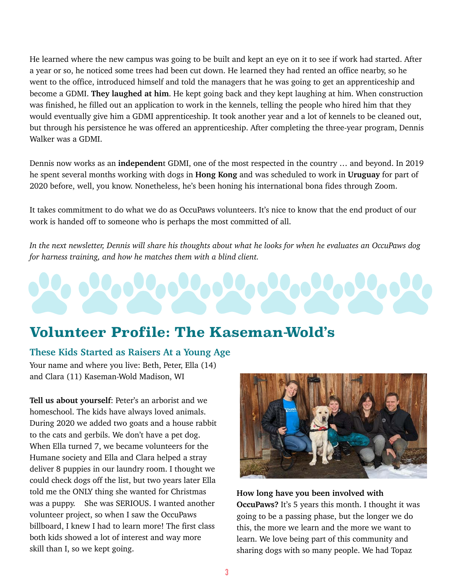He learned where the new campus was going to be built and kept an eye on it to see if work had started. After a year or so, he noticed some trees had been cut down. He learned they had rented an office nearby, so he went to the office, introduced himself and told the managers that he was going to get an apprenticeship and become a GDMI. **They laughed at him**. He kept going back and they kept laughing at him. When construction was finished, he filled out an application to work in the kennels, telling the people who hired him that they would eventually give him a GDMI apprenticeship. It took another year and a lot of kennels to be cleaned out, but through his persistence he was offered an apprenticeship. After completing the three-year program, Dennis Walker was a GDMI.

Dennis now works as an **independen**t GDMI, one of the most respected in the country … and beyond. In 2019 he spent several months working with dogs in **Hong Kong** and was scheduled to work in **Uruguay** for part of 2020 before, well, you know. Nonetheless, he's been honing his international bona fides through Zoom.

It takes commitment to do what we do as OccuPaws volunteers. It's nice to know that the end product of our work is handed off to someone who is perhaps the most committed of all.

*In the next newsletter, Dennis will share his thoughts about what he looks for when he evaluates an OccuPaws dog for harness training, and how he matches them with a blind client.*

## **Volunteer Profile: The Kaseman-Wold's**

#### **These Kids Started as Raisers At a Young Age**

Your name and where you live: Beth, Peter, Ella (14) and Clara (11) Kaseman-Wold Madison, WI

**Tell us about yourself**: Peter's an arborist and we homeschool. The kids have always loved animals. During 2020 we added two goats and a house rabbit to the cats and gerbils. We don't have a pet dog. When Ella turned 7, we became volunteers for the Humane society and Ella and Clara helped a stray deliver 8 puppies in our laundry room. I thought we could check dogs off the list, but two years later Ella told me the ONLY thing she wanted for Christmas was a puppy. She was SERIOUS. I wanted another volunteer project, so when I saw the OccuPaws billboard, I knew I had to learn more! The first class both kids showed a lot of interest and way more skill than I, so we kept going.



**How long have you been involved with OccuPaws?** It's 5 years this month. I thought it was going to be a passing phase, but the longer we do this, the more we learn and the more we want to learn. We love being part of this community and sharing dogs with so many people. We had Topaz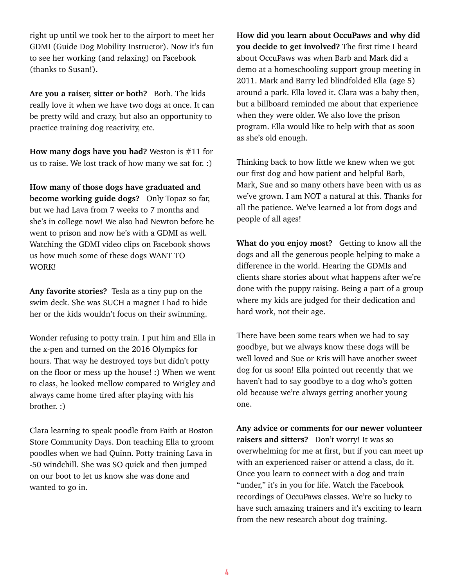right up until we took her to the airport to meet her GDMI (Guide Dog Mobility Instructor). Now it's fun to see her working (and relaxing) on Facebook (thanks to Susan!).

**Are you a raiser, sitter or both?** Both. The kids really love it when we have two dogs at once. It can be pretty wild and crazy, but also an opportunity to practice training dog reactivity, etc.

**How many dogs have you had?** Weston is #11 for us to raise. We lost track of how many we sat for. :)

**How many of those dogs have graduated and become working guide dogs?** Only Topaz so far, but we had Lava from 7 weeks to 7 months and she's in college now! We also had Newton before he went to prison and now he's with a GDMI as well. Watching the GDMI video clips on Facebook shows us how much some of these dogs WANT TO WORK!

**Any favorite stories?** Tesla as a tiny pup on the swim deck. She was SUCH a magnet I had to hide her or the kids wouldn't focus on their swimming.

Wonder refusing to potty train. I put him and Ella in the x-pen and turned on the 2016 Olympics for hours. That way he destroyed toys but didn't potty on the floor or mess up the house! :) When we went to class, he looked mellow compared to Wrigley and always came home tired after playing with his brother. :)

Clara learning to speak poodle from Faith at Boston Store Community Days. Don teaching Ella to groom poodles when we had Quinn. Potty training Lava in -50 windchill. She was SO quick and then jumped on our boot to let us know she was done and wanted to go in.

**How did you learn about OccuPaws and why did you decide to get involved?** The first time I heard about OccuPaws was when Barb and Mark did a demo at a homeschooling support group meeting in 2011. Mark and Barry led blindfolded Ella (age 5) around a park. Ella loved it. Clara was a baby then, but a billboard reminded me about that experience when they were older. We also love the prison program. Ella would like to help with that as soon as she's old enough.

Thinking back to how little we knew when we got our first dog and how patient and helpful Barb, Mark, Sue and so many others have been with us as we've grown. I am NOT a natural at this. Thanks for all the patience. We've learned a lot from dogs and people of all ages!

**What do you enjoy most?** Getting to know all the dogs and all the generous people helping to make a difference in the world. Hearing the GDMIs and clients share stories about what happens after we're done with the puppy raising. Being a part of a group where my kids are judged for their dedication and hard work, not their age.

There have been some tears when we had to say goodbye, but we always know these dogs will be well loved and Sue or Kris will have another sweet dog for us soon! Ella pointed out recently that we haven't had to say goodbye to a dog who's gotten old because we're always getting another young one.

**Any advice or comments for our newer volunteer raisers and sitters?** Don't worry! It was so overwhelming for me at first, but if you can meet up with an experienced raiser or attend a class, do it. Once you learn to connect with a dog and train "under," it's in you for life. Watch the Facebook recordings of OccuPaws classes. We're so lucky to have such amazing trainers and it's exciting to learn from the new research about dog training.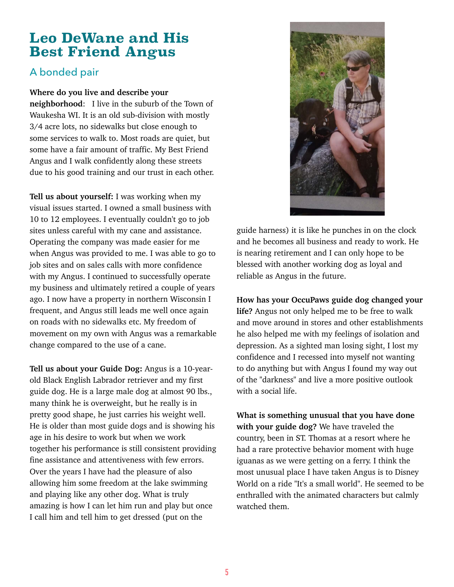## **Leo DeWane and His Best Friend Angus**

### A bonded pair

#### **Where do you live and describe your**

**neighborhood**: I live in the suburb of the Town of Waukesha WI. It is an old sub-division with mostly 3/4 acre lots, no sidewalks but close enough to some services to walk to. Most roads are quiet, but some have a fair amount of traffic. My Best Friend Angus and I walk confidently along these streets due to his good training and our trust in each other.

**Tell us about yourself:** I was working when my visual issues started. I owned a small business with 10 to 12 employees. I eventually couldn't go to job sites unless careful with my cane and assistance. Operating the company was made easier for me when Angus was provided to me. I was able to go to job sites and on sales calls with more confidence with my Angus. I continued to successfully operate my business and ultimately retired a couple of years ago. I now have a property in northern Wisconsin I frequent, and Angus still leads me well once again on roads with no sidewalks etc. My freedom of movement on my own with Angus was a remarkable change compared to the use of a cane.

**Tell us about your Guide Dog:** Angus is a 10-yearold Black English Labrador retriever and my first guide dog. He is a large male dog at almost 90 lbs., many think he is overweight, but he really is in pretty good shape, he just carries his weight well. He is older than most guide dogs and is showing his age in his desire to work but when we work together his performance is still consistent providing fine assistance and attentiveness with few errors. Over the years I have had the pleasure of also allowing him some freedom at the lake swimming and playing like any other dog. What is truly amazing is how I can let him run and play but once I call him and tell him to get dressed (put on the



guide harness) it is like he punches in on the clock and he becomes all business and ready to work. He is nearing retirement and I can only hope to be blessed with another working dog as loyal and reliable as Angus in the future.

**How has your OccuPaws guide dog changed your life?** Angus not only helped me to be free to walk and move around in stores and other establishments he also helped me with my feelings of isolation and depression. As a sighted man losing sight, I lost my confidence and I recessed into myself not wanting to do anything but with Angus I found my way out of the "darkness" and live a more positive outlook with a social life.

**What is something unusual that you have done with your guide dog?** We have traveled the country, been in ST. Thomas at a resort where he had a rare protective behavior moment with huge iguanas as we were getting on a ferry. I think the most unusual place I have taken Angus is to Disney World on a ride "It's a small world". He seemed to be enthralled with the animated characters but calmly watched them.